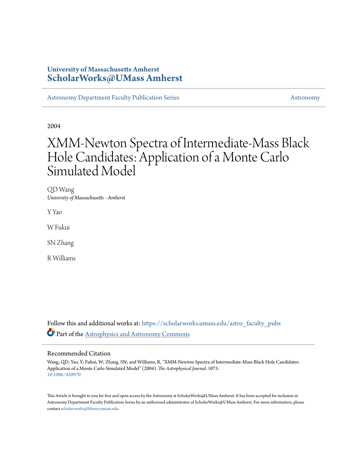# **University of Massachusetts Amherst [ScholarWorks@UMass Amherst](https://scholarworks.umass.edu?utm_source=scholarworks.umass.edu%2Fastro_faculty_pubs%2F1073&utm_medium=PDF&utm_campaign=PDFCoverPages)**

[Astronomy Department Faculty Publication Series](https://scholarworks.umass.edu/astro_faculty_pubs?utm_source=scholarworks.umass.edu%2Fastro_faculty_pubs%2F1073&utm_medium=PDF&utm_campaign=PDFCoverPages) [Astronomy](https://scholarworks.umass.edu/astro?utm_source=scholarworks.umass.edu%2Fastro_faculty_pubs%2F1073&utm_medium=PDF&utm_campaign=PDFCoverPages)

2004

# XMM-Newton Spectra of Intermediate-Mass Black Hole Candidates: Application of a Monte Carlo Simulated Model

QD Wang *University of Massachusetts - Amherst*

Y Yao

W Fukui

SN Zhang

R Williams

Follow this and additional works at: [https://scholarworks.umass.edu/astro\\_faculty\\_pubs](https://scholarworks.umass.edu/astro_faculty_pubs?utm_source=scholarworks.umass.edu%2Fastro_faculty_pubs%2F1073&utm_medium=PDF&utm_campaign=PDFCoverPages) Part of the [Astrophysics and Astronomy Commons](http://network.bepress.com/hgg/discipline/123?utm_source=scholarworks.umass.edu%2Fastro_faculty_pubs%2F1073&utm_medium=PDF&utm_campaign=PDFCoverPages)

## Recommended Citation

Wang, QD; Yao, Y; Fukui, W; Zhang, SN; and Williams, R, "XMM-Newton Spectra of Intermediate-Mass Black Hole Candidates: Application of a Monte Carlo Simulated Model" (2004). *The Astrophysical Journal*. 1073. <10.1086/420970>

This Article is brought to you for free and open access by the Astronomy at ScholarWorks@UMass Amherst. It has been accepted for inclusion in Astronomy Department Faculty Publication Series by an authorized administrator of ScholarWorks@UMass Amherst. For more information, please contact [scholarworks@library.umass.edu](mailto:scholarworks@library.umass.edu).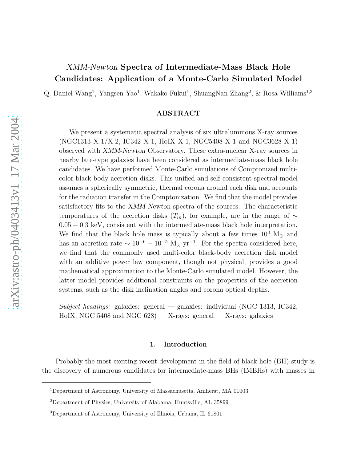# XMM-Newton Spectra of Intermediate-Mass Black Hole Candidates: Application of a Monte-Carlo Simulated Model

Q. Daniel Wang<sup>1</sup>, Yangsen Yao<sup>1</sup>, Wakako Fukui<sup>1</sup>, ShuangNan Zhang<sup>2</sup>, & Rosa Williams<sup>1,3</sup>

## ABSTRACT

We present a systematic spectral analysis of six ultraluminous X-ray sources (NGC1313 X-1/X-2, IC342 X-1, HoIX X-1, NGC5408 X-1 and NGC3628 X-1) observed with XMM-Newton Observatory. These extra-nuclear X-ray sources in nearby late-type galaxies have been considered as intermediate-mass black hole candidates. We have performed Monte-Carlo simulations of Comptonized multicolor black-body accretion disks. This unified and self-consistent spectral model assumes a spherically symmetric, thermal corona around each disk and accounts for the radiation transfer in the Comptonization. We find that the model provides satisfactory fits to the XMM-Newton spectra of the sources. The characteristic temperatures of the accretion disks  $(T_{in})$ , for example, are in the range of ∼ 0.05 − 0.3 keV, consistent with the intermediate-mass black hole interpretation. We find that the black hole mass is typically about a few times  $10^3$  M<sub>☉</sub> and has an accretion rate  $\sim 10^{-6} - 10^{-5}$  M<sub>☉</sub> yr<sup>-1</sup>. For the spectra considered here, we find that the commonly used multi-color black-body accretion disk model with an additive power law component, though not physical, provides a good mathematical approximation to the Monte-Carlo simulated model. However, the latter model provides additional constraints on the properties of the accretion systems, such as the disk inclination angles and corona optical depths.

Subject headings: galaxies: general — galaxies: individual (NGC 1313, IC342, HoIX, NGC 5408 and NGC 628) — X-rays: general — X-rays: galaxies

#### 1. Introduction

Probably the most exciting recent development in the field of black hole (BH) study is the discovery of numerous candidates for intermediate-mass BHs (IMBHs) with masses in

<sup>1</sup>Department of Astronomy, University of Massachusetts, Amherst, MA 01003

<sup>2</sup>Department of Physics, University of Alabama, Huntsville, AL 35899

<sup>3</sup>Department of Astronomy, University of Illinois, Urbana, IL 61801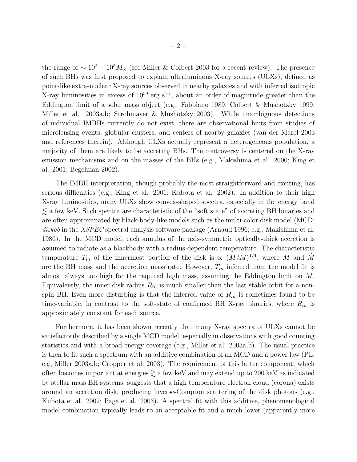the range of  $\sim 10^2 - 10^5 M_{\odot}$  (see Miller & Colbert 2003 for a recent review). The presence of such BHs was first proposed to explain ultraluminous X-ray sources (ULXs), defined as point-like extra-nuclear X-ray sources observed in nearby galaxies and with inferred isotropic X-ray luminosities in excess of 10<sup>39</sup> erg s<sup>-1</sup>, about an order of magnitude greater than the Eddington limit of a solar mass object (e.g., Fabbiano 1989; Colbert & Mushotzky 1999; Miller et al. 2003a,b; Strohmayer & Mushotzky 2003). While unambiguous detections of individual IMBHs currently do not exist, there are observational hints from studies of microlensing events, globular clusters, and centers of nearby galaxies (van der Marel 2003 and references therein). Although ULXs actually represent a heterogeneous population, a majority of them are likely to be accreting BHs. The controversy is centered on the X-ray emission mechanisms and on the masses of the BHs (e.g., Makishima et al. 2000; King et al. 2001; Begelman 2002).

The IMBH interpretation, though probably the most straightforward and exciting, has serious difficulties (e.g., King et al. 2001; Kubota et al. 2002). In addition to their high X-ray luminosities, many ULXs show convex-shaped spectra, especially in the energy band  $\lesssim$  a few keV. Such spectra are characteristic of the "soft state" of accreting BH binaries and are often approximated by black-body-like models such as the multi-color disk model (MCD; diskbb in the XSPEC spectral analysis software package (Arnaud 1996; e.g., Makishima et al. 1986). In the MCD model, each annulus of the axis-symmetric optically-thick accretion is assumed to radiate as a blackbody with a radius-dependent temperature. The characteristic temperature  $T_{in}$  of the innermost portion of the disk is  $\propto (\dot{M}/M)^{1/4}$ , where M and  $\dot{M}$ are the BH mass and the accretion mass rate. However,  $T_{in}$  inferred from the model fit is almost always too high for the required high mass, assuming the Eddington limit on  $\dot{M}$ . Equivalently, the inner disk radius  $R_{in}$  is much smaller than the last stable orbit for a nonspin BH. Even more disturbing is that the inferred value of  $R_{in}$  is sometimes found to be time-variable, in contrast to the soft-state of confirmed BH X-ray binaries, where  $R_{in}$  is approximately constant for each source.

Furthermore, it has been shown recently that many X-ray spectra of ULXs cannot be satisfactorily described by a single MCD model, especially in observations with good counting statistics and with a broad energy coverage (e.g., Miller et al. 2003a,b). The usual practice is then to fit such a spectrum with an additive combination of an MCD and a power law (PL; e.g, Miller 2003a,b; Cropper et al. 2003). The requirement of this latter component, which often becomes important at energies  $\gtrsim$  a few keV and may extend up to 200 keV as indicated by stellar mass BH systems, suggests that a high temperature electron cloud (corona) exists around an accretion disk, producing inverse-Compton scattering of the disk photons (e.g., Kubota et al. 2002; Page et al. 2003). A spectral fit with this additive, phenomenological model combination typically leads to an acceptable fit and a much lower (apparently more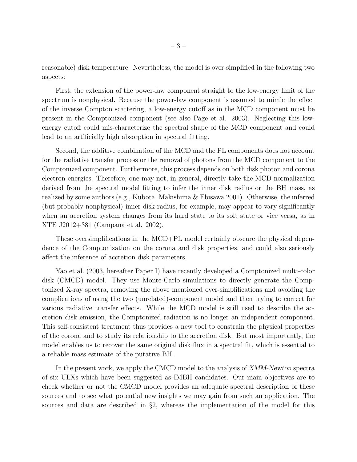reasonable) disk temperature. Nevertheless, the model is over-simplified in the following two aspects:

First, the extension of the power-law component straight to the low-energy limit of the spectrum is nonphysical. Because the power-law component is assumed to mimic the effect of the inverse Compton scattering, a low-energy cutoff as in the MCD component must be present in the Comptonized component (see also Page et al. 2003). Neglecting this lowenergy cutoff could mis-characterize the spectral shape of the MCD component and could lead to an artificially high absorption in spectral fitting.

Second, the additive combination of the MCD and the PL components does not account for the radiative transfer process or the removal of photons from the MCD component to the Comptonized component. Furthermore, this process depends on both disk photon and corona electron energies. Therefore, one may not, in general, directly take the MCD normalization derived from the spectral model fitting to infer the inner disk radius or the BH mass, as realized by some authors (e.g., Kubota, Makishima & Ebisawa 2001). Otherwise, the inferred (but probably nonphysical) inner disk radius, for example, may appear to vary significantly when an accretion system changes from its hard state to its soft state or vice versa, as in XTE J2012+381 (Campana et al. 2002).

These oversimplifications in the MCD+PL model certainly obscure the physical dependence of the Comptonization on the corona and disk properties, and could also seriously affect the inference of accretion disk parameters.

Yao et al. (2003, hereafter Paper I) have recently developed a Comptonized multi-color disk (CMCD) model. They use Monte-Carlo simulations to directly generate the Comptonized X-ray spectra, removing the above mentioned over-simplifications and avoiding the complications of using the two (unrelated)-component model and then trying to correct for various radiative transfer effects. While the MCD model is still used to describe the accretion disk emission, the Comptonized radiation is no longer an independent component. This self-consistent treatment thus provides a new tool to constrain the physical properties of the corona and to study its relationship to the accretion disk. But most importantly, the model enables us to recover the same original disk flux in a spectral fit, which is essential to a reliable mass estimate of the putative BH.

In the present work, we apply the CMCD model to the analysis of XMM-Newton spectra of six ULXs which have been suggested as IMBH candidates. Our main objectives are to check whether or not the CMCD model provides an adequate spectral description of these sources and to see what potential new insights we may gain from such an application. The sources and data are described in §2, whereas the implementation of the model for this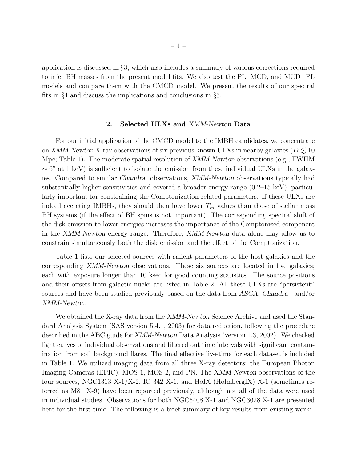application is discussed in §3, which also includes a summary of various corrections required to infer BH masses from the present model fits. We also test the PL, MCD, and MCD+PL models and compare them with the CMCD model. We present the results of our spectral fits in §4 and discuss the implications and conclusions in §5.

#### 2. Selected ULXs and XMM-Newton Data

For our initial application of the CMCD model to the IMBH candidates, we concentrate on XMM-Newton X-ray observations of six previous known ULXs in nearby galaxies ( $D \lesssim 10$ Mpc; Table 1). The moderate spatial resolution of XMM-Newton observations (e.g., FWHM  $\sim 6''$  at 1 keV) is sufficient to isolate the emission from these individual ULXs in the galaxies. Compared to similar Chandra observations, XMM-Newton observations typically had substantially higher sensitivities and covered a broader energy range (0.2–15 keV), particularly important for constraining the Comptonization-related parameters. If these ULXs are indeed accreting IMBHs, they should then have lower  $T_{in}$  values than those of stellar mass BH systems (if the effect of BH spins is not important). The corresponding spectral shift of the disk emission to lower energies increases the importance of the Comptonized component in the XMM-Newton energy range. Therefore, XMM-Newton data alone may allow us to constrain simultaneously both the disk emission and the effect of the Comptonization.

Table 1 lists our selected sources with salient parameters of the host galaxies and the corresponding XMM-Newton observations. These six sources are located in five galaxies; each with exposure longer than 10 ksec for good counting statistics. The source positions and their offsets from galactic nuclei are listed in Table 2. All these ULXs are "persistent" sources and have been studied previously based on the data from ASCA, Chandra , and/or XMM-Newton.

We obtained the X-ray data from the XMM-Newton Science Archive and used the Standard Analysis System (SAS version 5.4.1, 2003) for data reduction, following the procedure described in the ABC guide for XMM-Newton Data Analysis (version 1.3, 2002). We checked light curves of individual observations and filtered out time intervals with significant contamination from soft background flares. The final effective live-time for each dataset is included in Table 1. We utilized imaging data from all three X-ray detectors: the European Photon Imaging Cameras (EPIC): MOS-1, MOS-2, and PN. The XMM-Newton observations of the four sources, NGC1313 X-1/X-2, IC 342 X-1, and HoIX (HolmbergIX) X-1 (sometimes referred as M81 X-9) have been reported previously, although not all of the data were used in individual studies. Observations for both NGC5408 X-1 and NGC3628 X-1 are presented here for the first time. The following is a brief summary of key results from existing work: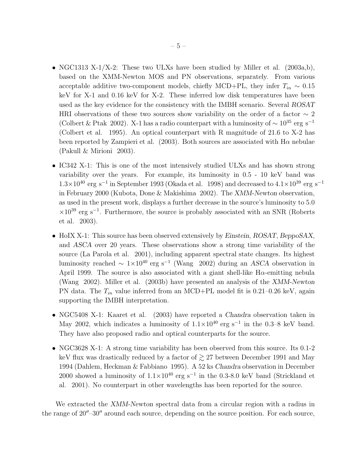- NGC1313 X-1/X-2: These two ULXs have been studied by Miller et al. (2003a,b), based on the XMM-Newton MOS and PN observations, separately. From various acceptable additive two-component models, chiefly MCD+PL, they infer  $T_{in} \sim 0.15$ keV for X-1 and 0.16 keV for X-2. These inferred low disk temperatures have been used as the key evidence for the consistency with the IMBH scenario. Several ROSAT HRI observations of these two sources show variability on the order of a factor  $\sim 2$ (Colbert & Ptak 2002). X-1 has a radio counterpart with a luminosity of  $\sim 10^{35}$  erg s<sup>-1</sup> (Colbert et al. 1995). An optical counterpart with R magnitude of 21.6 to X-2 has been reported by Zampieri et al. (2003). Both sources are associated with  $H\alpha$  nebulae (Pakull & Mirioni 2003).
- IC342 X-1: This is one of the most intensively studied ULXs and has shown strong variability over the years. For example, its luminosity in 0.5 - 10 keV band was  $1.3\times10^{40}$  erg s<sup>-1</sup> in September 1993 (Okada et al. 1998) and decreased to 4.1×10<sup>39</sup> erg s<sup>-1</sup> in February 2000 (Kubota, Done & Makishima 2002). The XMM-Newton observation, as used in the present work, displays a further decrease in the source's luminosity to 5.0  $\times10^{39}$  erg s<sup>-1</sup>. Furthermore, the source is probably associated with an SNR (Roberts et al. 2003).
- HoIX X-1: This source has been observed extensively by Einstein, ROSAT, BeppoSAX, and ASCA over 20 years. These observations show a strong time variability of the source (La Parola et al. 2001), including apparent spectral state changes. Its highest luminosity reached  $\sim 1 \times 10^{40}$  erg s<sup>-1</sup> (Wang 2002) during an ASCA observation in April 1999. The source is also associated with a giant shell-like  $H\alpha$ -emitting nebula (Wang 2002). Miller et al. (2003b) have presented an analysis of the XMM-Newton PN data. The  $T_{in}$  value inferred from an MCD+PL model fit is 0.21–0.26 keV, again supporting the IMBH interpretation.
- NGC5408 X-1: Kaaret et al. (2003) have reported a Chandra observation taken in May 2002, which indicates a luminosity of  $1.1 \times 10^{40}$  erg s<sup>-1</sup> in the 0.3–8 keV band. They have also proposed radio and optical counterparts for the source.
- NGC3628 X-1: A strong time variability has been observed from this source. Its 0.1-2 keV flux was drastically reduced by a factor of  $\geq$  27 between December 1991 and May 1994 (Dahlem, Heckman & Fabbiano 1995). A 52 ks Chandra observation in December 2000 showed a luminosity of  $1.1 \times 10^{40}$  erg s<sup>-1</sup> in the 0.3-8.0 keV band (Strickland et al. 2001). No counterpart in other wavelengths has been reported for the source.

We extracted the XMM-Newton spectral data from a circular region with a radius in the range of  $20''-30''$  around each source, depending on the source position. For each source,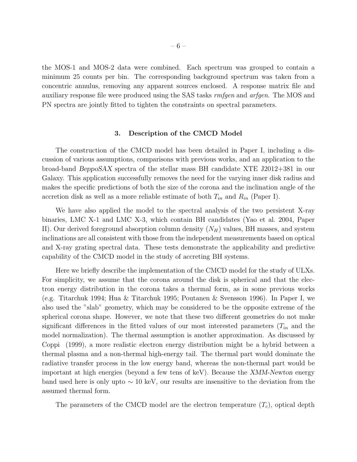the MOS-1 and MOS-2 data were combined. Each spectrum was grouped to contain a minimum 25 counts per bin. The corresponding background spectrum was taken from a concentric annulus, removing any apparent sources enclosed. A response matrix file and auxiliary response file were produced using the SAS tasks rmfgen and arfgen. The MOS and PN spectra are jointly fitted to tighten the constraints on spectral parameters.

#### 3. Description of the CMCD Model

The construction of the CMCD model has been detailed in Paper I, including a discussion of various assumptions, comparisons with previous works, and an application to the broad-band BeppoSAX spectra of the stellar mass BH candidate XTE J2012+381 in our Galaxy. This application successfully removes the need for the varying inner disk radius and makes the specific predictions of both the size of the corona and the inclination angle of the accretion disk as well as a more reliable estimate of both  $T_{in}$  and  $R_{in}$  (Paper I).

We have also applied the model to the spectral analysis of the two persistent X-ray binaries, LMC X-1 and LMC X-3, which contain BH candidates (Yao et al. 2004, Paper II). Our derived foreground absorption column density  $(N_H)$  values, BH masses, and system inclinations are all consistent with those from the independent measurements based on optical and X-ray grating spectral data. These tests demonstrate the applicability and predictive capability of the CMCD model in the study of accreting BH systems.

Here we briefly describe the implementation of the CMCD model for the study of ULXs. For simplicity, we assume that the corona around the disk is spherical and that the electron energy distribution in the corona takes a thermal form, as in some previous works (e.g. Titarchuk 1994; Hua & Titarchuk 1995; Poutanen & Svensson 1996). In Paper I, we also used the "slab" geometry, which may be considered to be the opposite extreme of the spherical corona shape. However, we note that these two different geometries do not make significant differences in the fitted values of our most interested parameters  $(T_{in}$  and the model normalization). The thermal assumption is another approximation. As discussed by Coppi (1999), a more realistic electron energy distribution might be a hybrid between a thermal plasma and a non-thermal high-energy tail. The thermal part would dominate the radiative transfer process in the low energy band, whereas the non-thermal part would be important at high energies (beyond a few tens of keV). Because the XMM-Newton energy band used here is only upto ∼ 10 keV, our results are insensitive to the deviation from the assumed thermal form.

The parameters of the CMCD model are the electron temperature  $(T_c)$ , optical depth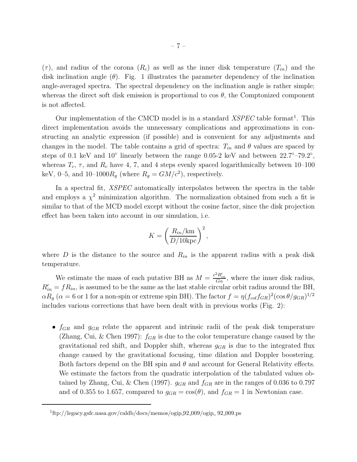$(\tau)$ , and radius of the corona  $(R_c)$  as well as the inner disk temperature  $(T_{in})$  and the disk inclination angle  $(\theta)$ . Fig. 1 illustrates the parameter dependency of the inclination angle-averaged spectra. The spectral dependency on the inclination angle is rather simple; whereas the direct soft disk emission is proportional to cos  $\theta$ , the Comptonized component is not affected.

Our implementation of the CMCD model is in a standard  $XSPEC$  table format<sup>1</sup>. This direct implementation avoids the unnecessary complications and approximations in constructing an analytic expression (if possible) and is convenient for any adjustments and changes in the model. The table contains a grid of spectra:  $T_{in}$  and  $\theta$  values are spaced by steps of 0.1 keV and  $10^{\circ}$  linearly between the range 0.05-2 keV and between  $22.7^{\circ}-79.2^{\circ}$ , whereas  $T_c$ ,  $\tau$ , and  $R_c$  have 4, 7, and 4 steps evenly spaced logarithmically between 10–100 keV, 0–5, and 10–1000 $R_g$  (where  $R_g = GM/c^2$ ), respectively.

In a spectral fit, *XSPEC* automatically interpolates between the spectra in the table and employs a  $\chi^2$  minimization algorithm. The normalization obtained from such a fit is similar to that of the MCD model except without the cosine factor, since the disk projection effect has been taken into account in our simulation, i.e.

$$
K = \left(\frac{R_{in}/\mathrm{km}}{D/10 \mathrm{kpc}}\right)^2,
$$

where D is the distance to the source and  $R_{in}$  is the apparent radius with a peak disk temperature.

We estimate the mass of each putative BH as  $M = \frac{c^2 R'_{in}}{G \alpha}$ , where the inner disk radius,  $R'_{in} = fR_{in}$ , is assumed to be the same as the last stable circular orbit radius around the BH,  $\alpha R_g$  ( $\alpha = 6$  or 1 for a non-spin or extreme spin BH). The factor  $f = \eta (f_{col}f_{GR})^2(\cos\theta/g_{GR})^{1/2}$ includes various corrections that have been dealt with in previous works (Fig. 2):

•  $f_{GR}$  and  $g_{GR}$  relate the apparent and intrinsic radii of the peak disk temperature (Zhang, Cui, & Chen 1997):  $f_{GR}$  is due to the color temperature change caused by the gravitational red shift, and Doppler shift, whereas  $g_{GR}$  is due to the integrated flux change caused by the gravitational focusing, time dilation and Doppler boostering. Both factors depend on the BH spin and  $\theta$  and account for General Relativity effects. We estimate the factors from the quadratic interpolation of the tabulated values obtained by Zhang, Cui, & Chen (1997).  $g_{GR}$  and  $f_{GR}$  are in the ranges of 0.036 to 0.797 and of 0.355 to 1.657, compared to  $g_{GR} = \cos(\theta)$ , and  $f_{GR} = 1$  in Newtonian case.

<sup>&</sup>lt;sup>1</sup>ftp://legacy.gsfc.nasa.gov/caldb/docs/memos/ogip 92\_009/ogip 92\_009.ps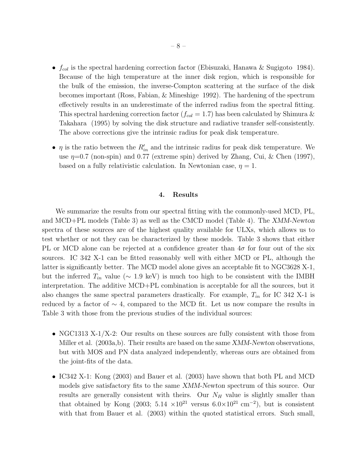- $f_{col}$  is the spectral hardening correction factor (Ebisuzaki, Hanawa & Sugigoto 1984). Because of the high temperature at the inner disk region, which is responsible for the bulk of the emission, the inverse-Compton scattering at the surface of the disk becomes important (Ross, Fabian, & Mineshige 1992). The hardening of the spectrum effectively results in an underestimate of the inferred radius from the spectral fitting. This spectral hardening correction factor  $(f_{col} = 1.7)$  has been calculated by Shimura & Takahara (1995) by solving the disk structure and radiative transfer self-consistently. The above corrections give the intrinsic radius for peak disk temperature.
- $\eta$  is the ratio between the  $R'_{in}$  and the intrinsic radius for peak disk temperature. We use  $\eta$ =0.7 (non-spin) and 0.77 (extreme spin) derived by Zhang, Cui, & Chen (1997), based on a fully relativistic calculation. In Newtonian case,  $\eta = 1$ .

#### 4. Results

We summarize the results from our spectral fitting with the commonly-used MCD, PL, and MCD+PL models (Table 3) as well as the CMCD model (Table 4). The XMM-Newton spectra of these sources are of the highest quality available for ULXs, which allows us to test whether or not they can be characterized by these models. Table 3 shows that either PL or MCD alone can be rejected at a confidence greater than  $4\sigma$  for four out of the six sources. IC 342 X-1 can be fitted reasonably well with either MCD or PL, although the latter is significantly better. The MCD model alone gives an acceptable fit to NGC3628 X-1, but the inferred  $T_{in}$  value ( $\sim 1.9 \text{ keV}$ ) is much too high to be consistent with the IMBH interpretation. The additive MCD+PL combination is acceptable for all the sources, but it also changes the same spectral parameters drastically. For example,  $T_{in}$  for IC 342 X-1 is reduced by a factor of  $\sim 4$ , compared to the MCD fit. Let us now compare the results in Table 3 with those from the previous studies of the individual sources:

- NGC1313 X-1/X-2: Our results on these sources are fully consistent with those from Miller et al. (2003a,b). Their results are based on the same XMM-Newton observations, but with MOS and PN data analyzed independently, whereas ours are obtained from the joint-fits of the data.
- IC342 X-1: Kong (2003) and Bauer et al. (2003) have shown that both PL and MCD models give satisfactory fits to the same XMM-Newton spectrum of this source. Our results are generally consistent with theirs. Our  $N_H$  value is slightly smaller than that obtained by Kong (2003; 5.14  $\times 10^{21}$  versus 6.0 $\times 10^{21}$  cm<sup>-2</sup>), but is consistent with that from Bauer et al.  $(2003)$  within the quoted statistical errors. Such small,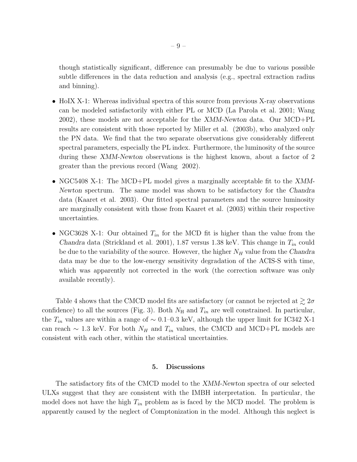though statistically significant, difference can presumably be due to various possible subtle differences in the data reduction and analysis (e.g., spectral extraction radius and binning).

- HoIX X-1: Whereas individual spectra of this source from previous X-ray observations can be modeled satisfactorily with either PL or MCD (La Parola et al. 2001; Wang 2002), these models are not acceptable for the XMM-Newton data. Our MCD+PL results are consistent with those reported by Miller et al. (2003b), who analyzed only the PN data. We find that the two separate observations give considerably different spectral parameters, especially the PL index. Furthermore, the luminosity of the source during these XMM-Newton observations is the highest known, about a factor of 2 greater than the previous record (Wang 2002).
- NGC5408 X-1: The MCD+PL model gives a marginally acceptable fit to the XMM-Newton spectrum. The same model was shown to be satisfactory for the Chandra data (Kaaret et al. 2003). Our fitted spectral parameters and the source luminosity are marginally consistent with those from Kaaret et al. (2003) within their respective uncertainties.
- NGC3628 X-1: Our obtained  $T_{in}$  for the MCD fit is higher than the value from the Chandra data (Strickland et al. 2001), 1.87 versus 1.38 keV. This change in  $T_{in}$  could be due to the variability of the source. However, the higher  $N_H$  value from the Chandra data may be due to the low-energy sensitivity degradation of the ACIS-S with time, which was apparently not corrected in the work (the correction software was only available recently).

Table 4 shows that the CMCD model fits are satisfactory (or cannot be rejected at  $\gtrsim 2\sigma$ confidence) to all the sources (Fig. 3). Both  $N_{\rm H}$  and  $T_{in}$  are well constrained. In particular, the  $T_{in}$  values are within a range of ~ 0.1–0.3 keV, although the upper limit for IC342 X-1 can reach  $\sim$  1.3 keV. For both  $N_H$  and  $T_{in}$  values, the CMCD and MCD+PL models are consistent with each other, within the statistical uncertainties.

## 5. Discussions

The satisfactory fits of the CMCD model to the XMM-Newton spectra of our selected ULXs suggest that they are consistent with the IMBH interpretation. In particular, the model does not have the high  $T_{in}$  problem as is faced by the MCD model. The problem is apparently caused by the neglect of Comptonization in the model. Although this neglect is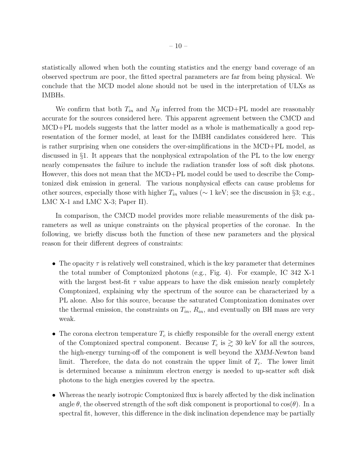statistically allowed when both the counting statistics and the energy band coverage of an observed spectrum are poor, the fitted spectral parameters are far from being physical. We conclude that the MCD model alone should not be used in the interpretation of ULXs as IMBHs.

We confirm that both  $T_{in}$  and  $N_H$  inferred from the MCD+PL model are reasonably accurate for the sources considered here. This apparent agreement between the CMCD and MCD+PL models suggests that the latter model as a whole is mathematically a good representation of the former model, at least for the IMBH candidates considered here. This is rather surprising when one considers the over-simplifications in the MCD+PL model, as discussed in §1. It appears that the nonphysical extrapolation of the PL to the low energy nearly compensates the failure to include the radiation transfer loss of soft disk photons. However, this does not mean that the MCD+PL model could be used to describe the Comptonized disk emission in general. The various nonphysical effects can cause problems for other sources, especially those with higher  $T_{in}$  values ( $\sim 1$  keV; see the discussion in §3; e.g., LMC X-1 and LMC X-3; Paper II).

In comparison, the CMCD model provides more reliable measurements of the disk parameters as well as unique constraints on the physical properties of the coronae. In the following, we briefly discuss both the function of these new parameters and the physical reason for their different degrees of constraints:

- The opacity  $\tau$  is relatively well constrained, which is the key parameter that determines the total number of Comptonized photons (e.g., Fig. 4). For example, IC 342 X-1 with the largest best-fit  $\tau$  value appears to have the disk emission nearly completely Comptonized, explaining why the spectrum of the source can be characterized by a PL alone. Also for this source, because the saturated Comptonization dominates over the thermal emission, the constraints on  $T_{in}$ ,  $R_{in}$ , and eventually on BH mass are very weak.
- The corona electron temperature  $T_c$  is chiefly responsible for the overall energy extent of the Comptonized spectral component. Because  $T_c$  is  $\gtrsim 30$  keV for all the sources, the high-energy turning-off of the component is well beyond the XMM-Newton band limit. Therefore, the data do not constrain the upper limit of  $T_c$ . The lower limit is determined because a minimum electron energy is needed to up-scatter soft disk photons to the high energies covered by the spectra.
- Whereas the nearly isotropic Comptonized flux is barely affected by the disk inclination angle  $\theta$ , the observed strength of the soft disk component is proportional to  $\cos(\theta)$ . In a spectral fit, however, this difference in the disk inclination dependence may be partially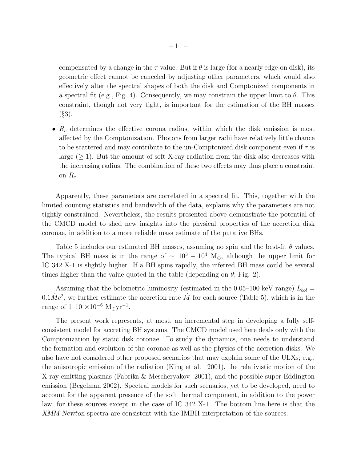compensated by a change in the  $\tau$  value. But if  $\theta$  is large (for a nearly edge-on disk), its geometric effect cannot be canceled by adjusting other parameters, which would also effectively alter the spectral shapes of both the disk and Comptonized components in a spectral fit (e.g., Fig. 4). Consequently, we may constrain the upper limit to  $\theta$ . This constraint, though not very tight, is important for the estimation of the BH masses  $(S3)$ .

•  $R_c$  determines the effective corona radius, within which the disk emission is most affected by the Comptonization. Photons from larger radii have relatively little chance to be scattered and may contribute to the un-Comptonized disk component even if  $\tau$  is large  $(\geq 1)$ . But the amount of soft X-ray radiation from the disk also decreases with the increasing radius. The combination of these two effects may thus place a constraint on  $R_c$ .

Apparently, these parameters are correlated in a spectral fit. This, together with the limited counting statistics and bandwidth of the data, explains why the parameters are not tightly constrained. Nevertheless, the results presented above demonstrate the potential of the CMCD model to shed new insights into the physical properties of the accretion disk coronae, in addition to a more reliable mass estimate of the putative BHs.

Table 5 includes our estimated BH masses, assuming no spin and the best-fit  $\theta$  values. The typical BH mass is in the range of  $\sim 10^3 - 10^4$  M<sub>☉</sub>, although the upper limit for IC 342 X-1 is slightly higher. If a BH spins rapidly, the inferred BH mass could be several times higher than the value quoted in the table (depending on  $\theta$ ; Fig. 2).

Assuming that the bolometric luminosity (estimated in the 0.05–100 keV range)  $L_{bol} =$  $0.1\dot{M}c^2$ , we further estimate the accretion rate  $\dot{M}$  for each source (Table 5), which is in the range of  $1-10 \times 10^{-6}$  M<sub>o</sub>yr<sup>-1</sup>.

The present work represents, at most, an incremental step in developing a fully selfconsistent model for accreting BH systems. The CMCD model used here deals only with the Comptonization by static disk coronae. To study the dynamics, one needs to understand the formation and evolution of the coronae as well as the physics of the accretion disks. We also have not considered other proposed scenarios that may explain some of the ULXs; e.g., the anisotropic emission of the radiation (King et al. 2001), the relativistic motion of the X-ray-emitting plasmas (Fabrika & Mescheryakov 2001), and the possible super-Eddington emission (Begelman 2002). Spectral models for such scenarios, yet to be developed, need to account for the apparent presence of the soft thermal component, in addition to the power law, for these sources except in the case of IC 342 X-1. The bottom line here is that the XMM-Newton spectra are consistent with the IMBH interpretation of the sources.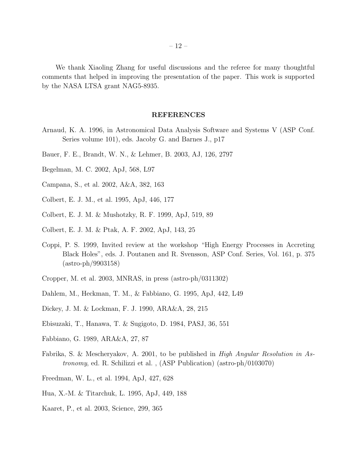We thank Xiaoling Zhang for useful discussions and the referee for many thoughtful comments that helped in improving the presentation of the paper. This work is supported by the NASA LTSA grant NAG5-8935.

#### REFERENCES

- Arnaud, K. A. 1996, in Astronomical Data Analysis Software and Systems V (ASP Conf. Series volume 101), eds. Jacoby G. and Barnes J., p17
- Bauer, F. E., Brandt, W. N., & Lehmer, B. 2003, AJ, 126, 2797
- Begelman, M. C. 2002, ApJ, 568, L97
- Campana, S., et al. 2002, A&A, 382, 163
- Colbert, E. J. M., et al. 1995, ApJ, 446, 177
- Colbert, E. J. M. & Mushotzky, R. F. 1999, ApJ, 519, 89
- Colbert, E. J. M. & Ptak, A. F. 2002, ApJ, 143, 25
- Coppi, P. S. 1999, Invited review at the workshop "High Energy Processes in Accreting Black Holes", eds. J. Poutanen and R. Svensson, ASP Conf. Series, Vol. 161, p. 375 (astro-ph/9903158)
- Cropper, M. et al. 2003, MNRAS, in press (astro-ph/0311302)
- Dahlem, M., Heckman, T. M., & Fabbiano, G. 1995, ApJ, 442, L49
- Dickey, J. M. & Lockman, F. J. 1990, ARA&A, 28, 215
- Ebisuzaki, T., Hanawa, T. & Sugigoto, D. 1984, PASJ, 36, 551
- Fabbiano, G. 1989, ARA&A, 27, 87
- Fabrika, S. & Mescheryakov, A. 2001, to be published in High Angular Resolution in Astronomy, ed. R. Schilizzi et al. , (ASP Publication) (astro-ph/0103070)
- Freedman, W. L., et al. 1994, ApJ, 427, 628
- Hua, X.-M. & Titarchuk, L. 1995, ApJ, 449, 188
- Kaaret, P., et al. 2003, Science, 299, 365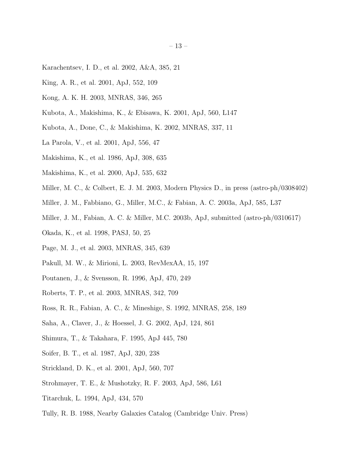- Karachentsev, I. D., et al. 2002, A&A, 385, 21
- King, A. R., et al. 2001, ApJ, 552, 109
- Kong, A. K. H. 2003, MNRAS, 346, 265
- Kubota, A., Makishima, K., & Ebisawa, K. 2001, ApJ, 560, L147
- Kubota, A., Done, C., & Makishima, K. 2002, MNRAS, 337, 11
- La Parola, V., et al. 2001, ApJ, 556, 47
- Makishima, K., et al. 1986, ApJ, 308, 635
- Makishima, K., et al. 2000, ApJ, 535, 632
- Miller, M. C., & Colbert, E. J. M. 2003, Modern Physics D., in press (astro-ph/0308402)
- Miller, J. M., Fabbiano, G., Miller, M.C., & Fabian, A. C. 2003a, ApJ, 585, L37
- Miller, J. M., Fabian, A. C. & Miller, M.C. 2003b, ApJ, submitted (astro-ph/0310617)
- Okada, K., et al. 1998, PASJ, 50, 25
- Page, M. J., et al. 2003, MNRAS, 345, 639
- Pakull, M. W., & Mirioni, L. 2003, RevMexAA, 15, 197
- Poutanen, J., & Svensson, R. 1996, ApJ, 470, 249
- Roberts, T. P., et al. 2003, MNRAS, 342, 709
- Ross, R. R., Fabian, A. C., & Mineshige, S. 1992, MNRAS, 258, 189
- Saha, A., Claver, J., & Hoessel, J. G. 2002, ApJ, 124, 861
- Shimura, T., & Takahara, F. 1995, ApJ 445, 780
- Soifer, B. T., et al. 1987, ApJ, 320, 238
- Strickland, D. K., et al. 2001, ApJ, 560, 707
- Strohmayer, T. E., & Mushotzky, R. F. 2003, ApJ, 586, L61
- Titarchuk, L. 1994, ApJ, 434, 570
- Tully, R. B. 1988, Nearby Galaxies Catalog (Cambridge Univ. Press)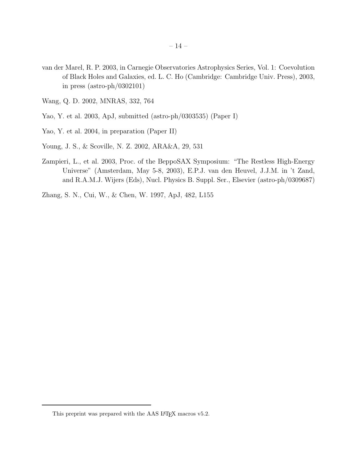- van der Marel, R. P. 2003, in Carnegie Observatories Astrophysics Series, Vol. 1: Coevolution of Black Holes and Galaxies, ed. L. C. Ho (Cambridge: Cambridge Univ. Press), 2003, in press (astro-ph/0302101)
- Wang, Q. D. 2002, MNRAS, 332, 764
- Yao, Y. et al. 2003, ApJ, submitted (astro-ph/0303535) (Paper I)
- Yao, Y. et al. 2004, in preparation (Paper II)
- Young, J. S., & Scoville, N. Z. 2002, ARA&A, 29, 531
- Zampieri, L., et al. 2003, Proc. of the BeppoSAX Symposium: "The Restless High-Energy Universe" (Amsterdam, May 5-8, 2003), E.P.J. van den Heuvel, J.J.M. in 't Zand, and R.A.M.J. Wijers (Eds), Nucl. Physics B. Suppl. Ser., Elsevier (astro-ph/0309687)
- Zhang, S. N., Cui, W., & Chen, W. 1997, ApJ, 482, L155

This preprint was prepared with the AAS IATEX macros v5.2.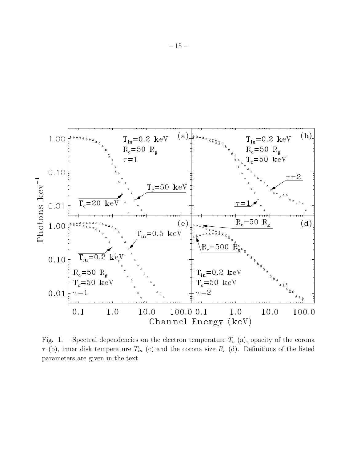

Fig. 1.— Spectral dependencies on the electron temperature  $T_c$  (a), opacity of the corona  $\tau$  (b), inner disk temperature  $T_{in}$  (c) and the corona size  $R_c$  (d). Definitions of the listed parameters are given in the text.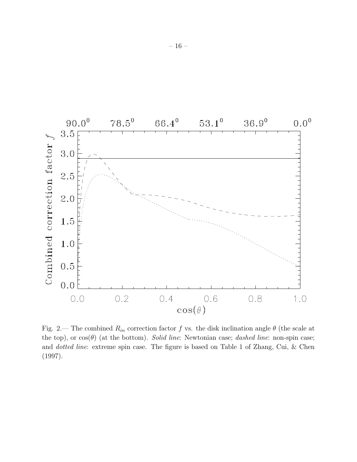

Fig. 2.— The combined  $R_{in}$  correction factor f vs. the disk inclination angle  $\theta$  (the scale at the top), or  $cos(\theta)$  (at the bottom). Solid line: Newtonian case; dashed line: non-spin case; and dotted line: extreme spin case. The figure is based on Table 1 of Zhang, Cui, & Chen (1997).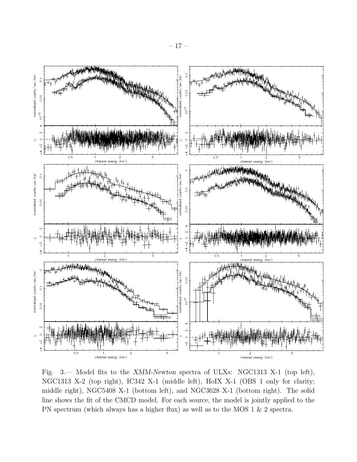

Fig. 3.— Model fits to the XMM-Newton spectra of ULXs: NGC1313 X-1 (top left), NGC1313 X-2 (top right), IC342 X-1 (middle left), HoIX X-1 (OBS 1 only for clarity; middle right), NGC5408 X-1 (bottom left), and NGC3628 X-1 (bottom right). The solid line shows the fit of the CMCD model. For each source, the model is jointly applied to the PN spectrum (which always has a higher flux) as well as to the MOS 1 & 2 spectra.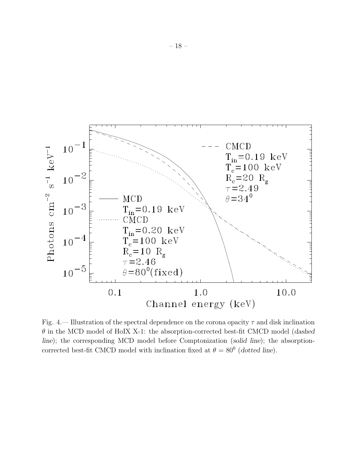

Fig. 4.— Illustration of the spectral dependence on the corona opacity  $\tau$  and disk inclination  $\theta$  in the MCD model of HoIX X-1: the absorption-corrected best-fit CMCD model (dashed line); the corresponding MCD model before Comptonization (solid line); the absorptioncorrected best-fit CMCD model with inclination fixed at  $\theta = 80^{\circ}$  (dotted line).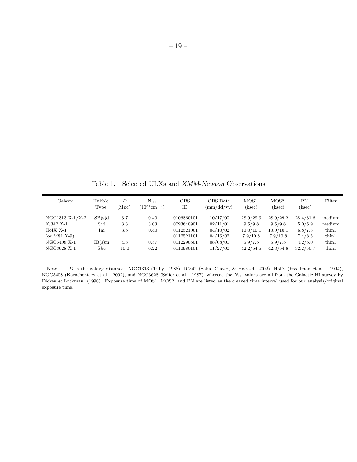Table 1. Selected ULXs and XMM-Newton Observations

| Galaxy                                                                                      | Hubble<br>Type                       | D<br>(Mpc)                       | $N_{\rm HI}$<br>$(10^{21} \text{cm}^{-2})$ | <b>OBS</b><br>ID                                                                 | OBS Date<br>$\text{(mm/dd/yy)}$                                      | MOS1<br>(ksec)                                                        | MOS <sub>2</sub><br>(ksec)                                            | ΡN<br>(ksec)                                                       | Filter                                               |
|---------------------------------------------------------------------------------------------|--------------------------------------|----------------------------------|--------------------------------------------|----------------------------------------------------------------------------------|----------------------------------------------------------------------|-----------------------------------------------------------------------|-----------------------------------------------------------------------|--------------------------------------------------------------------|------------------------------------------------------|
| NGC1313 X-1/X-2<br>IC342 X-1<br>$HoIX X-1$<br>(or $M81 X-9$ )<br>NGC5408 X-1<br>NGC3628 X-1 | SB(s)d<br>Scd<br>Im<br>IB(s)m<br>Sbc | 3.7<br>3.3<br>3.6<br>4.8<br>10.0 | 0.40<br>3.03<br>0.40<br>0.57<br>0.22       | 0106860101<br>0093640901<br>0112521001<br>0112521101<br>0112290601<br>0110980101 | 10/17/00<br>02/11/01<br>04/10/02<br>04/16/02<br>08/08/01<br>11/27/00 | 28.9/29.3<br>9.5/9.8<br>10.0/10.1<br>7.9/10.8<br>5.9/7.5<br>42.2/54.5 | 28.9/29.2<br>9.5/9.8<br>10.0/10.1<br>7.9/10.8<br>5.9/7.5<br>42.3/54.6 | 28.4/31.6<br>5.0/5.9<br>6.8/7.8<br>7.4/8.5<br>4.2/5.0<br>32.2/50.7 | medium<br>medium<br>thin1<br>thin1<br>thin1<br>thin1 |

Note.  $-D$  is the galaxy distance: NGC1313 (Tully 1988), IC342 (Saha, Claver, & Hoessel 2002), HoIX (Freedman et al. 1994), NGC5408 (Karachentsev et al. 2002), and NGC3628 (Soifer et al. 1987), whereas the N<sub>HI</sub> values are all from the Galactic HI survey by Dickey & Lockman (1990). Exposure time of MOS1, MOS2, and PN are listed as the cleaned time interval used for our analysis/original exposure time.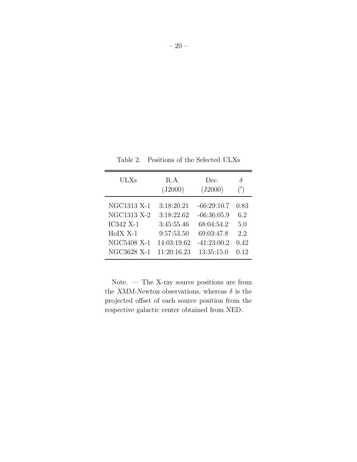| ULXs        | R.A.<br>(J2000) | Dec.<br>(J2000) | δ<br>(') |
|-------------|-----------------|-----------------|----------|
| NGC1313 X-1 | 3:18:20.21      | $-66:29:10.7$   | 0.83     |
| NGC1313 X-2 | 3:18:22.62      | $-66:36:05.9$   | 6.2      |
| IC342 X-1   | 3:45:55.46      | 68:04:54.2      | 5.0      |
| $HoIX X-1$  | 9:57:53.50      | 69:03:47.8      | 2.2      |
| NGC5408 X-1 | 14:03:19.62     | $-41:23:00.2$   | 0.42     |
| NGC3628 X-1 | 11:20:16.23     | 13:35:15.0      | 0.12     |

Table 2. Positions of the Selected ULXs

Note. — The X-ray source positions are from the XMM-Newton observations, whereas  $\delta$  is the projected offset of each source position from the respective galactic center obtained from NED.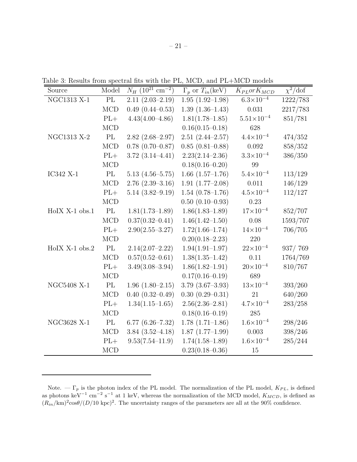Table 3: Results from spectral fits with the PL, MCD, and PL+MCD models

| Source           | Model      | $N_H$ (10 <sup>21</sup> cm <sup>-2</sup> ) | $\Gamma_p$ or $T_{in}$ (keV) | $K_{PL}or K_{MCD}$   | $\chi^2/\text{dof}$ |
|------------------|------------|--------------------------------------------|------------------------------|----------------------|---------------------|
| NGC1313 X-1      | $\rm PL$   | $2.11(2.03-2.19)$                          | $1.95(1.92-1.98)$            | $6.3 \times 10^{-4}$ | 1222/783            |
|                  | <b>MCD</b> | $0.49$ $(0.44 - 0.53)$                     | $1.39(1.36-1.43)$            | 0.031                | 2217/783            |
|                  | $PL+$      | $4.43(4.00-4.86)$                          | $1.81(1.78 - 1.85)$          | $5.51\times10^{-4}$  | 851/781             |
|                  | <b>MCD</b> |                                            | $0.16(0.15 - 0.18)$          | 628                  |                     |
| NGC1313 X-2      | PL         | $2.82(2.68-2.97)$                          | $2.51(2.44 - 2.57)$          | $4.4 \times 10^{-4}$ | 474/352             |
|                  | <b>MCD</b> | $0.78$ $(0.70-0.87)$                       | $0.85(0.81-0.88)$            | $\,0.092\,$          | 858/352             |
|                  | $PL+$      | $3.72(3.14 - 4.41)$                        | $2.23(2.14 - 2.36)$          | $3.3 \times 10^{-4}$ | 386/350             |
|                  | <b>MCD</b> |                                            | $0.18(0.16 - 0.20)$          | 99                   |                     |
| IC342 X-1        | PL         | $5.13(4.56-5.75)$                          | $1.66$ $(1.57-1.76)$         | $5.4 \times 10^{-4}$ | 113/129             |
|                  | <b>MCD</b> | $2.76$ $(2.39-3.16)$                       | $1.91(1.77-2.08)$            | 0.011                | 146/129             |
|                  | $PL+$      | $5.14(3.82 - 9.19)$                        | $1.54(0.78-1.76)$            | $4.5 \times 10^{-4}$ | 112/127             |
|                  | <b>MCD</b> |                                            | $0.50(0.10-0.93)$            | 0.23                 |                     |
| $HoIX X-1 obs.1$ | PL         | $1.81(1.73 - 1.89)$                        | $1.86(1.83 - 1.89)$          | $17 \times 10^{-4}$  | 852/707             |
|                  | $\rm MCD$  | $0.37(0.32 - 0.41)$                        | $1.46(1.42 - 1.50)$          | 0.08                 | 1593/707            |
|                  | $PL+$      | $2.90(2.55 - 3.27)$                        | $1.72(1.66 - 1.74)$          | $14{\times}10^{-4}$  | 706/705             |
|                  | <b>MCD</b> |                                            | $0.20(0.18-2.23)$            | 220                  |                     |
| $HoIX X-1 obs.2$ | PL         | $2.14(2.07-2.22)$                          | $1.94(1.91 - 1.97)$          | $22 \times 10^{-4}$  | 937/769             |
|                  | MCD        | $0.57(0.52 - 0.61)$                        | $1.38(1.35 - 1.42)$          | 0.11                 | 1764/769            |
|                  | $PL+$      | $3.49(3.08 - 3.94)$                        | $1.86(1.82 - 1.91)$          | $20 \times 10^{-4}$  | 810/767             |
|                  | <b>MCD</b> |                                            | $0.17(0.16 - 0.19)$          | 689                  |                     |
| NGC5408 X-1      | PL         | $1.96(1.80-2.15)$                          | $3.79$ $(3.67-3.93)$         | $13 \times 10^{-4}$  | 393/260             |
|                  | MCD        | $0.40(0.32-0.49)$                          | $0.30(0.29 - 0.31)$          | 21                   | 640/260             |
|                  | $PL+$      | $1.34(1.15-1.65)$                          | $2.56(2.36-2.81)$            | $4.7 \times 10^{-4}$ | 283/258             |
|                  | MCD        |                                            | $0.18(0.16 - 0.19)$          | $285\,$              |                     |
| NGC3628 X-1      | PL         | $6.77(6.26 - 7.32)$                        | $1.78(1.71-1.86)$            | $1.6 \times 10^{-4}$ | 298/246             |
|                  | MCD        | $3.84(3.52 - 4.18)$                        | $1.87(1.77-1.99)$            | $0.003\,$            | 398/246             |
|                  | $PL+$      | $9.53(7.54 - 11.9)$                        | $1.74(1.58-1.89)$            | $1.6 \times 10^{-4}$ | 285/244             |
|                  | MCD        |                                            | $0.23(0.18 - 0.36)$          | 15                   |                     |

Note.  $-\Gamma_p$  is the photon index of the PL model. The normalization of the PL model,  $K_{PL}$ , is defined as photons keV<sup>-1</sup> cm<sup>-2</sup> s<sup>-1</sup> at 1 keV, whereas the normalization of the MCD model,  $K_{MCD}$ , is defined as  $(R_{in}/\text{km})^2 \cos\theta/(D/10 \text{ kpc})^2$ . The uncertainty ranges of the parameters are all at the 90% confidence.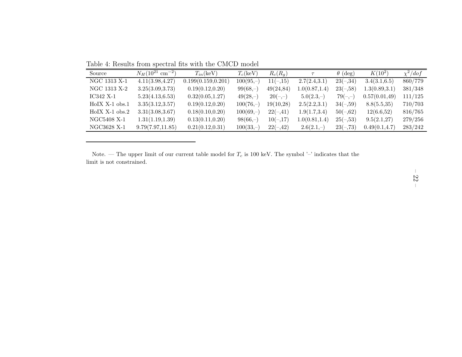Table 4: Results from spectral fits with the CMCD model

| Source             | $N_H(10^{21}$ cm <sup>-2</sup> ) | $T_{in}$ (keV)      | $T_c(\text{keV})$ | $R_c(R_a)$ | $\tau$         | $\theta$ (deg) | $K(10^2)$      | $\chi^2/dof$ |
|--------------------|----------------------------------|---------------------|-------------------|------------|----------------|----------------|----------------|--------------|
| NGC 1313 X-1       | 4.11(3.98, 4.27)                 | 0.199(0.159, 0.201) | $100(95,-)$       | $11(-,15)$ | 2.7(2.4,3.1)   | $23(-,34)$     | 3.4(3.1,6.5)   | 860/779      |
| NGC 1313 X-2       | 3.25(3.09, 3.73)                 | 0.19(0.12, 0.20)    | $99(68,-)$        | 49(24,84)  | 1.0(0.87, 1.4) | $23(-,58)$     | 1.3(0.89, 3.1) | 381/348      |
| IC342 X-1          | 5.23(4.13, 6.53)                 | 0.32(0.05, 1.27)    | $49(28,-)$        | $20(-,-)$  | $5.0(2.3,-)$   | $79(-,-)$      | 0.57(0.01, 49) | 111/125      |
| $HolX$ X-1 $obs.1$ | 3.35(3.12, 3.57)                 | 0.19(0.12, 0.20)    | $100(76,-)$       | 19(10,28)  | 2.5(2.2,3.1)   | $34(-,59)$     | 8.8(5.5,35)    | 710/703      |
| $HolX$ X-1 $obs.2$ | 3.31(3.08, 3.67)                 | 0.18(0.10, 0.20)    | $100(69,-)$       | $22(-,41)$ | 1.9(1.7,3.4)   | $50(-62)$      | 12(6.6,52)     | 816/765      |
| NGC5408 X-1        | 1.31(1.19, 1.39)                 | 0.13(0.11, 0.20)    | $98(66,-)$        | $10(-17)$  | 1.0(0.81, 1.4) | $25(-, 53)$    | 9.5(2.1,27)    | 279/256      |
| NGC3628 X-1        | 9.79(7.97, 11.85)                | 0.21(0.12, 0.31)    | $100(33,-)$       | $22(-,42)$ | $2.6(2.1,-)$   | $23(-,73)$     | 0.49(0.1, 4.7) | 283/242      |

Note. — The upper limit of our current table model for  $T_c$  is 100 keV. The symbol '–' indicates that the limit is not constrained.